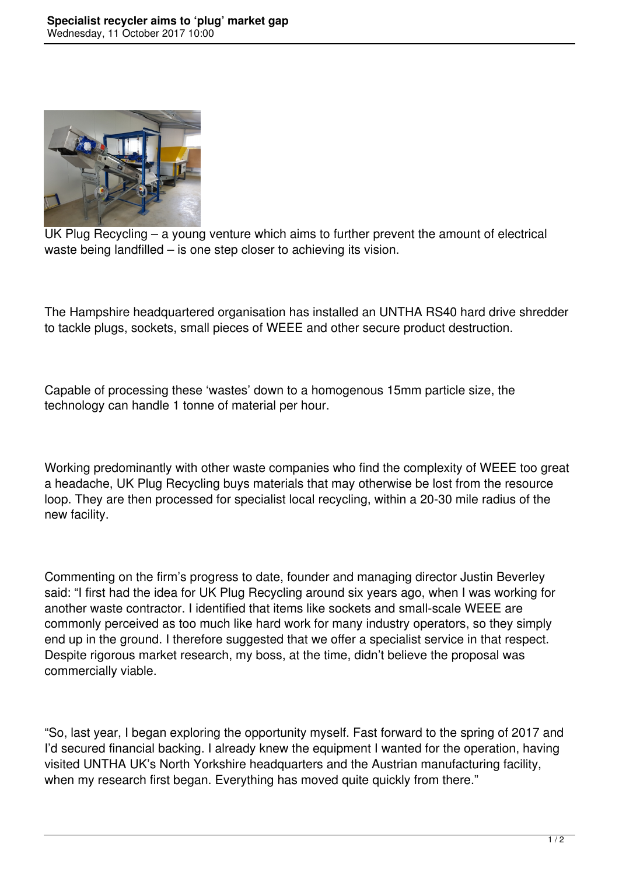

UK Plug Recycling – a young venture which aims to further prevent the amount of electrical waste being landfilled – is one step closer to achieving its vision.

The Hampshire headquartered organisation has installed an UNTHA RS40 hard drive shredder to tackle plugs, sockets, small pieces of WEEE and other secure product destruction.

Capable of processing these 'wastes' down to a homogenous 15mm particle size, the technology can handle 1 tonne of material per hour.

Working predominantly with other waste companies who find the complexity of WEEE too great a headache, UK Plug Recycling buys materials that may otherwise be lost from the resource loop. They are then processed for specialist local recycling, within a 20-30 mile radius of the new facility.

Commenting on the firm's progress to date, founder and managing director Justin Beverley said: "I first had the idea for UK Plug Recycling around six years ago, when I was working for another waste contractor. I identified that items like sockets and small-scale WEEE are commonly perceived as too much like hard work for many industry operators, so they simply end up in the ground. I therefore suggested that we offer a specialist service in that respect. Despite rigorous market research, my boss, at the time, didn't believe the proposal was commercially viable.

"So, last year, I began exploring the opportunity myself. Fast forward to the spring of 2017 and I'd secured financial backing. I already knew the equipment I wanted for the operation, having visited UNTHA UK's North Yorkshire headquarters and the Austrian manufacturing facility, when my research first began. Everything has moved quite quickly from there."